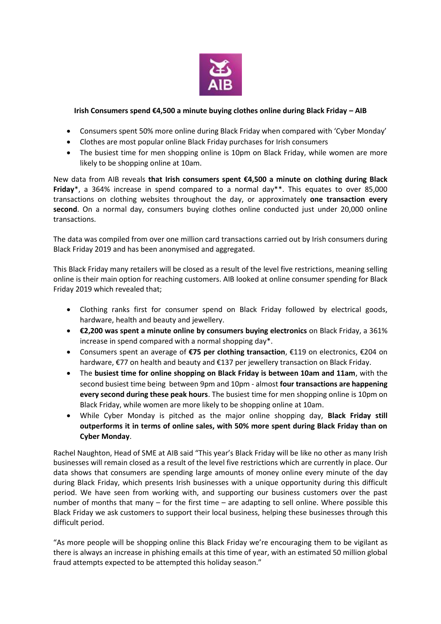

## **Irish Consumers spend €4,500 a minute buying clothes online during Black Friday – AIB**

- Consumers spent 50% more online during Black Friday when compared with 'Cyber Monday'
- Clothes are most popular online Black Friday purchases for Irish consumers
- The busiest time for men shopping online is 10pm on Black Friday, while women are more likely to be shopping online at 10am.

New data from AIB reveals **that Irish consumers spent €4,500 a minute on clothing during Black Friday**\*, a 364% increase in spend compared to a normal day\*\*. This equates to over 85,000 transactions on clothing websites throughout the day, or approximately **one transaction every second**. On a normal day, consumers buying clothes online conducted just under 20,000 online transactions.

The data was compiled from over one million card transactions carried out by Irish consumers during Black Friday 2019 and has been anonymised and aggregated.

This Black Friday many retailers will be closed as a result of the level five restrictions, meaning selling online is their main option for reaching customers. AIB looked at online consumer spending for Black Friday 2019 which revealed that;

- Clothing ranks first for consumer spend on Black Friday followed by electrical goods, hardware, health and beauty and jewellery.
- **€2,200 was spent a minute online by consumers buying electronics** on Black Friday, a 361% increase in spend compared with a normal shopping day\*.
- Consumers spent an average of **€75 per clothing transaction**, €119 on electronics, €204 on hardware, €77 on health and beauty and €137 per jewellery transaction on Black Friday.
- The **busiest time for online shopping on Black Friday is between 10am and 11am**, with the second busiest time being between 9pm and 10pm - almost **four transactions are happening every second during these peak hours**. The busiest time for men shopping online is 10pm on Black Friday, while women are more likely to be shopping online at 10am.
- While Cyber Monday is pitched as the major online shopping day, **Black Friday still outperforms it in terms of online sales, with 50% more spent during Black Friday than on Cyber Monday**.

Rachel Naughton, Head of SME at AIB said "This year's Black Friday will be like no other as many Irish businesses will remain closed as a result of the level five restrictions which are currently in place. Our data shows that consumers are spending large amounts of money online every minute of the day during Black Friday, which presents Irish businesses with a unique opportunity during this difficult period. We have seen from working with, and supporting our business customers over the past number of months that many – for the first time – are adapting to sell online. Where possible this Black Friday we ask customers to support their local business, helping these businesses through this difficult period.

"As more people will be shopping online this Black Friday we're encouraging them to be vigilant as there is always an increase in phishing emails at this time of year, with an estimated 50 million global fraud attempts expected to be attempted this holiday season."